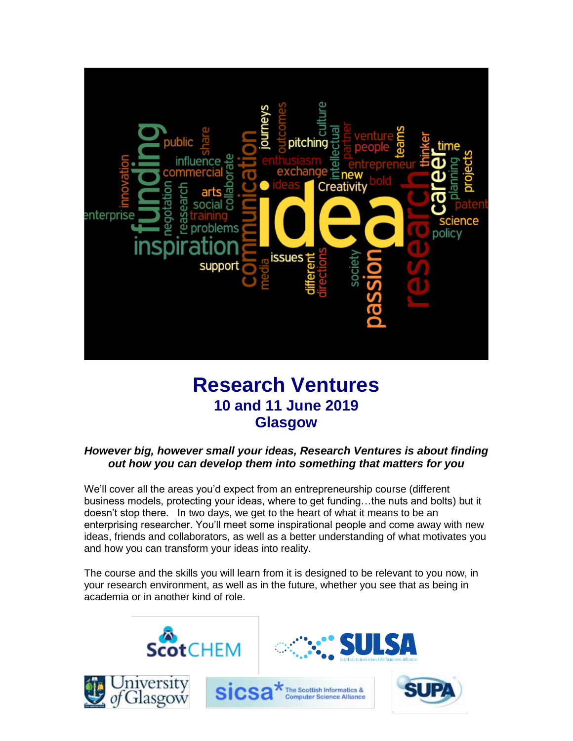

# **Research Ventures 10 and 11 June 2019 Glasgow**

## *However big, however small your ideas, Research Ventures is about finding out how you can develop them into something that matters for you*

We'll cover all the areas you'd expect from an entrepreneurship course (different business models, protecting your ideas, where to get funding…the nuts and bolts) but it doesn't stop there. In two days, we get to the heart of what it means to be an enterprising researcher. You'll meet some inspirational people and come away with new ideas, friends and collaborators, as well as a better understanding of what motivates you and how you can transform your ideas into reality.

The course and the skills you will learn from it is designed to be relevant to you now, in your research environment, as well as in the future, whether you see that as being in academia or in another kind of role.









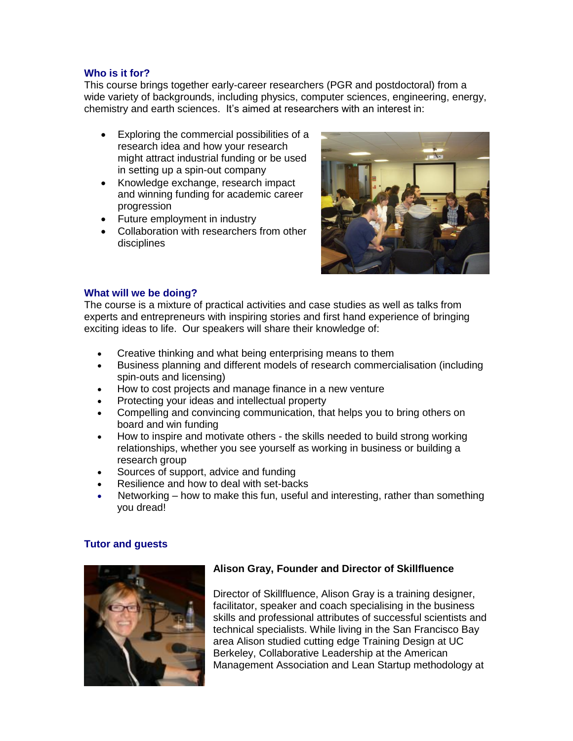#### **Who is it for?**

This course brings together early-career researchers (PGR and postdoctoral) from a wide variety of backgrounds, including physics, computer sciences, engineering, energy, chemistry and earth sciences. It's aimed at researchers with an interest in:

- Exploring the commercial possibilities of a research idea and how your research might attract industrial funding or be used in setting up a spin-out company
- Knowledge exchange, research impact and winning funding for academic career progression
- Future employment in industry
- Collaboration with researchers from other disciplines



#### **What will we be doing?**

The course is a mixture of practical activities and case studies as well as talks from experts and entrepreneurs with inspiring stories and first hand experience of bringing exciting ideas to life. Our speakers will share their knowledge of:

- Creative thinking and what being enterprising means to them
- Business planning and different models of research commercialisation (including spin-outs and licensing)
- How to cost projects and manage finance in a new venture
- Protecting your ideas and intellectual property
- Compelling and convincing communication, that helps you to bring others on board and win funding
- How to inspire and motivate others the skills needed to build strong working relationships, whether you see yourself as working in business or building a research group
- Sources of support, advice and funding
- Resilience and how to deal with set-backs
- Networking how to make this fun, useful and interesting, rather than something you dread!

#### **Tutor and guests**



## **Alison Gray, Founder and Director of Skillfluence**

Director of Skillfluence, Alison Gray is a training designer, facilitator, speaker and coach specialising in the business skills and professional attributes of successful scientists and technical specialists. While living in the San Francisco Bay area Alison studied cutting edge Training Design at UC Berkeley, Collaborative Leadership at the American Management Association and Lean Startup methodology at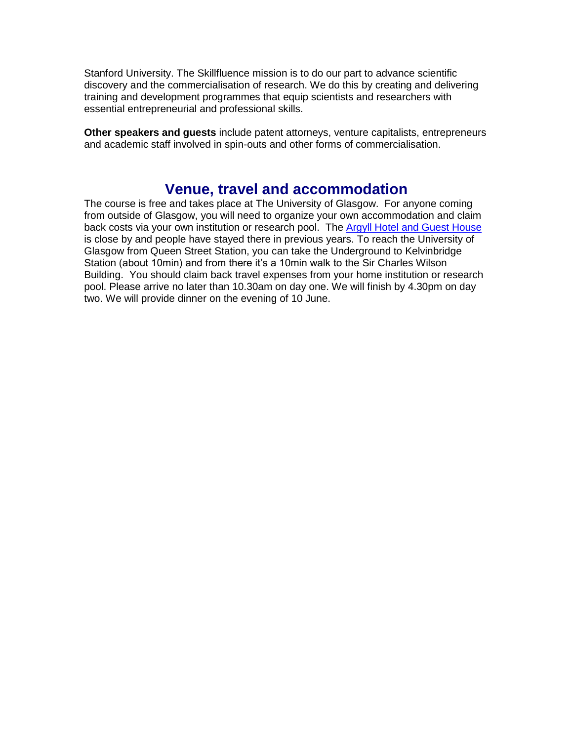Stanford University. The Skillfluence mission is to do our part to advance scientific discovery and the commercialisation of research. We do this by creating and delivering training and development programmes that equip scientists and researchers with essential entrepreneurial and professional skills.

**Other speakers and guests** include patent attorneys, venture capitalists, entrepreneurs and academic staff involved in spin-outs and other forms of commercialisation.

# **Venue, travel and accommodation**

The course is free and takes place at The University of Glasgow. For anyone coming from outside of Glasgow, you will need to organize your own accommodation and claim back costs via your own institution or research pool. The [Argyll Hotel and Guest House](http://www.argyllhotelglasgow.co.uk/) is close by and people have stayed there in previous years. To reach the University of Glasgow from Queen Street Station, you can take the Underground to Kelvinbridge Station (about 10min) and from there it's a 10min walk to the Sir Charles Wilson Building. You should claim back travel expenses from your home institution or research pool. Please arrive no later than 10.30am on day one. We will finish by 4.30pm on day two. We will provide dinner on the evening of 10 June.